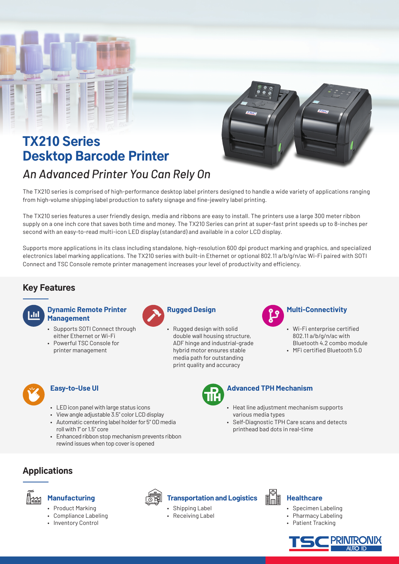

# TX210 Series Desktop Barcode Printer *An Advanced Printer You Can Rely On*



The TX210 series is comprised of high-performance desktop label printers designed to handle a wide variety of applications ranging from high-volume shipping label production to safety signage and fine-jewelry label printing.

The TX210 series features a user friendly design, media and ribbons are easy to install. The printers use a large 300 meter ribbon supply on a one inch core that saves both time and money. The TX210 Series can print at super-fast print speeds up to 8-inches per second with an easy-to-read multi-icon LED display (standard) and available in a color LCD display.

Supports more applications in its class including standalone, high-resolution 600 dpi product marking and graphics, and specialized electronics label marking applications. The TX210 series with built-in Ethernet or optional 802.11 a/b/g/n/ac Wi-Fi paired with SOTI Connect and TSC Console remote printer management increases your level of productivity and efficiency.

## Key Features

## **Dynamic Remote Printer Management**

- Supports SOTI Connect through either Ethernet or Wi-Fi
- Powerful TSC Console for printer management



• Rugged design with solid double wall housing structure, ADF hinge and industrial-grade hybrid motor ensures stable media path for outstanding print quality and accuracy



# **Multi-Connectivity**

- Wi-Fi enterprise certified 802.11 a/b/g/n/ac with Bluetooth 4.2 combo module
- MFi certified Bluetooth 5.0



## **Easy-to-Use UI**

- LED icon panel with large status icons
- View angle adjustable 3.5" color LCD display
- Automatic centering label holder for 5" OD media roll with 1" or 1.5" core
- Enhanced ribbon stop mechanism prevents ribbon rewind issues when top cover is opened



# **Advanced TPH Mechanism**

- Heat line adjustment mechanism supports various media types
- Self-Diagnostic TPH Care scans and detects printhead bad dots in real-time

# Applications



## **Manufacturing**

- Product Marking
- Compliance Labeling
- Inventory Control



## **Transportation and Logistics**

- Shipping Label
- Receiving Label



## **Healthcare**

- Specimen Labeling
- Pharmacy Labeling
- Patient Tracking